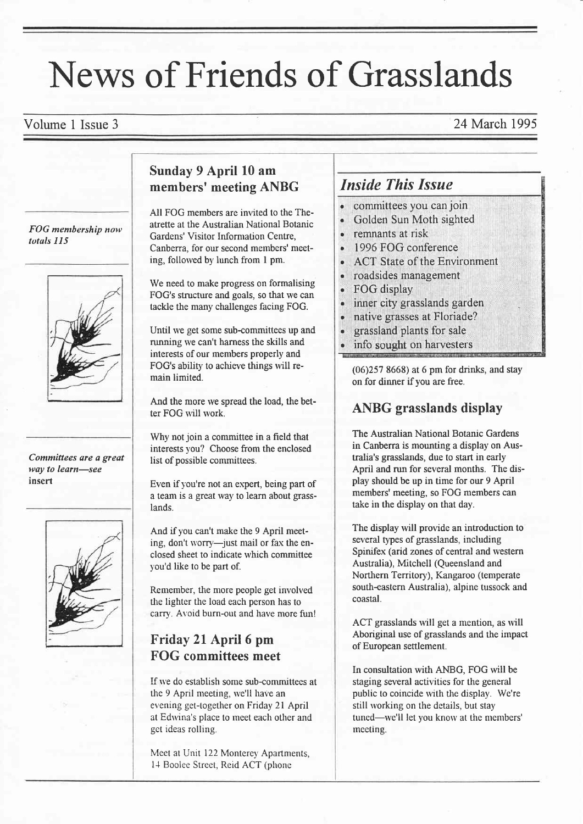# News of Friends of Grasslands

#### Volume I Issue <sup>3</sup> 24 March <sup>1995</sup>

FOG membership now

totals 115

## Sunday 9 April 10 am members' meeting ANBG

All FOG members are invited to the Theatrette at the Australian National Botanic Gardens' Visitor Information Centre, Canberra, for our second members' meeting, followed by lunch from 1 pm.

We need to make progress on formalising FOG's structure and goals, so that we can tackle the many challenges facing FOG.

Until we get some sub-committees up and running we can't harness the skills and interests of our members properly and FOG's ability to achieve things will remain limited.

And the more we spread the load, the better FOG will work.

Why not join a committee in a field that interests you? Choose from the enclosed list of possible committees.

Even if you're not an expert, being part of a team is a great way to learn about grasslands.

And if you can't make the 9 April meeting, don't worry—just mail or fax the enclosed sheet to indicate which committee you'd like to be part of.

Remember, the more people get involved the lighter the load each person has to carry. Avoid burn-out and have more fun!

## Friday 21 April 6 pm FOG committees meet

If we do establish some sub-committees at the 9 April meeting, we'll have an evening get-together on Friday 2l April at Edwina's place to meet each other and get ideas rolling.

Meet at Unit 122 Monterey Apartments, 14 Boolee Street, Reid ACT (phone

## Inside This Issue

- . committees you can join
- . Golden Sun Moth sighted
- remnants at risk
- . 1996 FOG conference
- . ACT State of the Environment
- . roadsides management
- . FOG display
- inner city grasslands garden
- . native grasses at Floriade?
- . grassland plants for sale
- info sought on harvesters

(06)257 8668) at 6 pm for drinks, and stay on for dinner if you are ftee.

## ANBG grasslands display

The Australian National Botanic Gardens in Canberra is mounting a display on Australia's grasslands, due to start in early April and run for several months. The display should be up in time for our 9 April members' meeting, so FOG members can take in the display on that day.

The display will provide an introduction to several types of grasslands, including Spinifex (arid zones of central and western Australia), Mitchell (Queensland and Northern Territory), Kangaroo (temperate south-eastern Australia), alpine tussock and coastal.

ACT grasslands will get a mention, as will Aboriginal use of grasslands and the impact of European settlement.

In consultation with ANBG, FOG will be staging several activities for the general public to coincide with the display. We're still working on the details, but stay tuned-we'll let you know at the members' meeting.





Committees are a great way to learn-see insert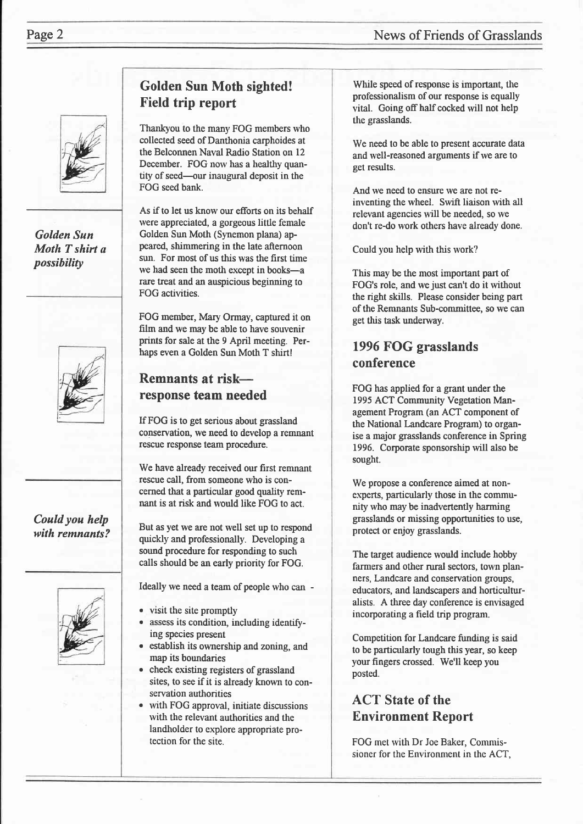

Golden Sun Moth T shirt a possibility



Could you help with remnants?



## Golden Sun Moth sighted! Field trip report

Thankyou to the many FOG members who collected seed of Danthonia carphoides at the Belconnen Naval Radio Station on 12 December. FOG now has a healthy quantity of seed-our inaugural deposit in the FOG seed bank.

As if to let us know our efforts on its behalf were appreciated, a gorgeous little female Golden Sun Moth (Synemon plana) appeared, shimmering in the late afternoon sun. For most of us this was the first time we had seen the moth except in books-a rare treat and an auspicious beginning to FOG activities.

FOG member, Mary Ormay, captured it on film and we may be able to have souvenir prints for sale at the 9 April meeting. Perhaps even a Golden Sun Moth T shirt!

#### Remnants at riskresponse team needed

IfFOG is to get serious about grassland conseryation, we need to develop a remnant rescue response team procedure.

We have already received our first remnant rescue call, from someone who is concerned that a particular good quality remnant is at risk and would like FOG to act.

But as yet we are not well set up to respond quickly and professionally. Developing a sound procedure for responding to such calls should be an early priority for FOG.

Ideally we need a team of people who can -

- . visit the site promptly
- assess its condition, including identifying species present
- . establish its ownership and zoning, and map its boundaries
- check existing registers of grassland sites, to see if it is already known to conservation authorities
- . with FOG approval, initiate discussions with the relevant authorities and the landholder to explore appropriate protection for the site.

While speed of response is important, the professionalism of our response is equally vital. Going offhalf cocked will not help the grasslands.

We need to be able to present accurate data and well-reasoned arguments if we are to get results.

And we need to ensure we are not reinventing the wheel. Swift liaison with all relevant agencies will be needed, so we don't re-do work others have already done.

Could you help with this work?

This may be the most important part of FOG's role, and we just can't do it without the right skills. Please consider being part of the Remnants Sub-committee, so we can get this task undenray.

#### 1996 FOG grasslands conference

FOG has applied for a grant under the 1995 ACT Community Vegetation Management Program (an ACT component of the National Landcare Program) to organise a major grasslands conference in Spring 1996. Corporate sponsorship will also be sought.

We propose a conference aimed at nonexperts, particularly those in the community who may be inadvertently harming grasslands or missing opportunities to use, protect or enjoy grasslands.

The target audience would include hobby farmers and other rural sectors, town planners, Landcare and conseryation groups, educators, and landscapers and horticulturalists. A three day conference is envisaged incorporating a field trip program.

Competition for Landcare funding is said to be particularly tough this year, so keep your fingers crossed. We'll keep you posted.

## ACT State of the Environment Report

FOG met with Dr Joe Baker, Commissioner for the Environment in the ACT,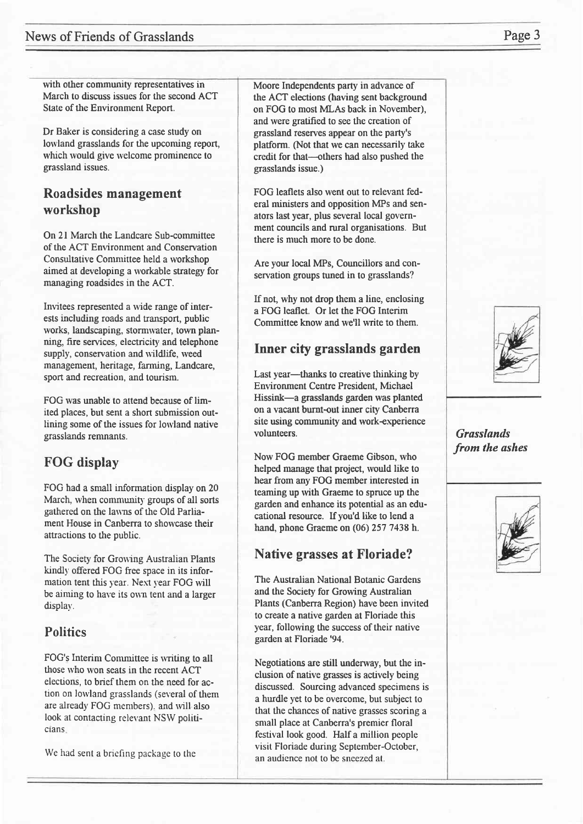with other community representatives in March to discuss issues for the second ACT State of the Environment Report.

Dr Baker is considering a case study on lowland grasslands for the upcoming report, which would give welcome prominence to grassland issues.

#### Roadsides management workshop

On 2l March the Landcare Sub-committee of the ACT Environment and Conservation Consultative Committee held a workshop aimed at developing a workable strategy for managing roadsides in the ACT.

Invitees represented a wide range of interests including roads and trarsport, public works, landscaping, stormwater, town planning, fire services, electricity and telephone supply, conservation and wildlife, weed management, heritage, farming, Landcare, sport and recreation, and tourism.

FOG was unable to attend because of limited places, but sent a short submission outlining some of the issues for lorvland native grasslands remnants.

## FOG display

FOG had a small information display on 20 March, when community groups of all sorts gathered on the launs of the Old Parliament House in Canberra to showcase their attractions to the public.

The Society for Growing Australian Plants kindly offered FOG free space in its information tent this year. Next year FOG will be aiming to have its own tent and a larger display.

## **Politics**

FOG's Interim Committee is writing to all those who won seats in the recent ACT elections, to brief them on the need for action on lowland grasslands (several of them are already FOG members), and will also look at contacting relevant NSW politicians.

We had sent a briefing package to the

Moore Independents party in advance of the ACT elections (having sent background on FOG to most MLAS back in November), and were gratified to see the creation of grassland reserves appear on the party's platform. (Not that we can necessarily take credit for that---others had also pushed the grasslands issue.)

FOG leaflets also went out to relevant federal ministers and opposition MPs and senators last year, plus several local government councils and rural organisations. But there is much more to be done.

Are your local MPs, Councillors and conservation groups tuned in to grasslands?

If not, why not drop them a line, enclosing a FOG leaflet. Or let the FOG Interim Committee know and we'll write to them.

## Inner city grasslands garden

Last year-thanks to creative thinking by Environment Centre President, Michael Hissink-a grasslands garden was planted on a vacant burnt-out inner city Canberra site using community and work-experience volunteers.

Now FOG member Graeme Gibson, who helped manage that project, would like to hear from any FOG member interested in teaming up with Graeme to spruce up the garden and enhance its potential as an educational resource. If you'd like to lend a hand, phone Graeme on (06) 257 7438h.

## Native grasses at Floriade?

The Australian National Botanic Gardens and the Society for Growing Australian Plants (Canberra Region) have been invited to create a native garden at Floriade this year, following the success of their native garden at Floriade'94.

Negotiations are still underway, but the inclusion of native grasses is actively being discussed. Sourcing advanced specimens is a hurdle yet to be overcome, but subject to that the chances of native grasses scoring a small place at Canberra's premier floral festival look good. Half a million people visit Floriade during September-October, an audience not to be sneezed at.



#### Grasslands from the ashes

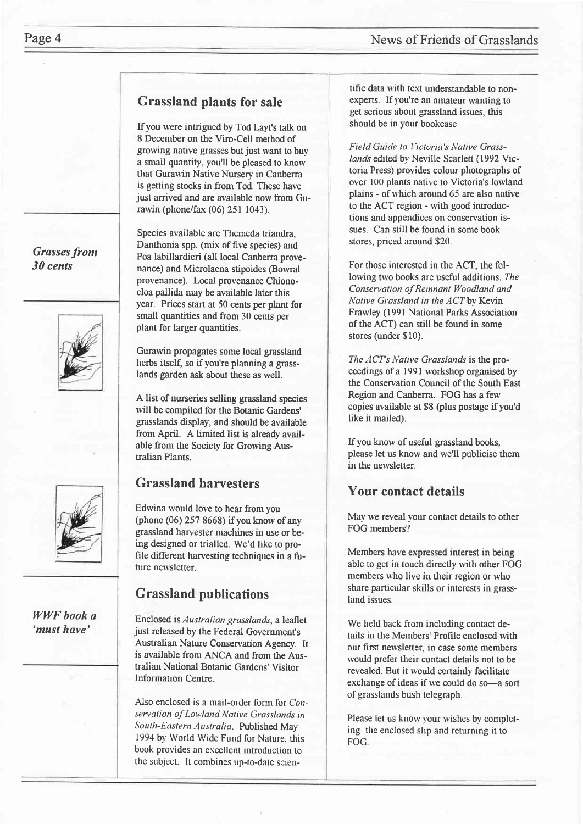#### Grassland plants for sale

If you were intrigued by Tod Layt's talk on 8 December on the Viro-Cell method of growing native grasses but just want to buy a small quantity, you'll be pleased to know that Gurawin Native Nursery in Canberra is getting stocks in from Tod. These have just arrived and are available now from Gurawin (phone/fax (06) 251 1043).

Species available are Themeda triandra, Danthonia spp. (mix of five species) and Poa labillardieri (all local Canberra provenance) and Microlaena stipoides (Bowral provenance). Local provenance Chionocloa pallida may be available later this year. Prices start at 50 cents per plant for small quantities and from 30 cents per plant for larger quantities.

Gurawin propagates some local grassland herbs itself, so if you're planning a grasslands garden ask about these as well.

A list of nurseries selling grassland species will be compiled for the Botanic Gardens' grasslands display, and should be available from April. A limited list is already available from the Society for Growing Australian Plants.

#### Grassland harvesters

Edwina would love to hear from you (phone  $(06)$  257 8668) if you know of any grassland harvester machines in use or being designed or trialled. We'd like to profile different hanresting techniques in a future newsletter.

#### Grassland publications

Enclosed is Australian grasslands, a leaflet just released by the Federal Government's Australian Nature Conservation Agency. It is available from ANCA and from the Australian National Botanic Gardens' Visitor Information Centre.

AIso enclosed is a mail-order form for Conservalion of Lowland Native Grasslands in South-Eastern Australia. Published May 1994 by World Wide Fund for Nature, this book provides an excellent introduction to thc subject. It combines up-to-date scientific data with text understandable to nonexperts. If you're an amateur wanting to get serious about grassland issues, this should be in your bookcase.

Field Guide to Victoria's Native Grasslands edited by Neville Scarlett (1992 Victoria Press) provides colour photographs of over 100 plants native to Victoria's lowland plains - of which around 65 are also native to the ACT region - with good introductions and appendices on conservation issues. Can still be found in some book stores, priced around \$20.

For those interested in the ACT, the following two books are useful additions. The Conservation of Remnant Woodland and Native Grassland in the ACT by Kevin Frawley (1991 National Parks Association of the ACT) can still be found in some stores (under \$10).

The ACT's Native Grasslands is the proceedings of a I <sup>99</sup>I workshop organised by the Conservation Council of the South East Region and Canberra. FOG has a feu, copies available at \$8 (plus postage if you'd like it mailed).

If you know of useful grassland books, please let us know and we'll publicise them in the newsletter.

#### Your contact details

May we reveal your contact details to other FOG members?

Members have expressed interest in being able to get in touch directly with other FOG members who live in their region or who share particular skills or interests in grassland issues.

We held back from including contact details in the Members' Profile enclosed with our first newsletter, in case some members would prefer their contact details not to be revealed. But it would certainly facilitate exchange of ideas if we could do so-a sort of grasslands bush telegraph.

Please let us know your wishes by completing the enclosed slip and returning it to FOG.

Grasses fronr 30 cents





IYWF book a 'must have'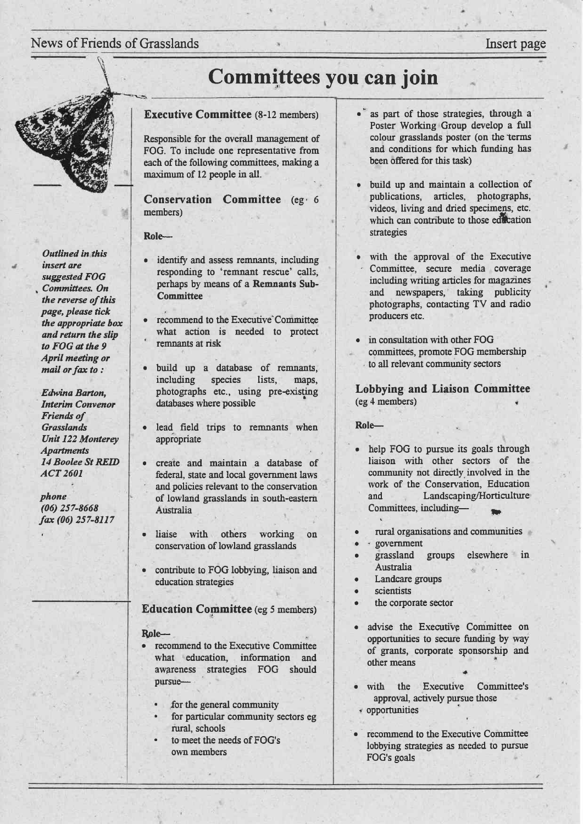#### News of Friends of Grasslands **Insert page**

# Committees you can join

#### Executive Commiffee (8-12 members)

Responsible for the overall management of FOG. To include one representative from each of the following committees, making a maximum of 12 people in all.

Conservation Committee (eg 6 members)

#### Rols-

- identify and assess remnants, including responding to 'remnant rescue' calls, perhaps by mears of a Remnants Sub-Committee
- recommend to the Executive'Committee what action is needed to protect remnants at risk
- build up a database of remnants,<br>including species lists, maps, species photographs etc., using pre-existing databases where possible
- lead field trips to remnants when appropriate
- create and maintain a database of federal, state and local government laws<br>and policies relevant to the conservation of lowland grasslands in south-eastern Australia
- . liaise with otders working on conservation of lowland grasslands
- contribute to FOG lobbying, liaison and education strategies

Education Committee (eg 5 members)

#### Role-

- recommend to the Executive Committee what education, information and awareness strategies FOG should pursue
	- for the general community
	- for particular community sectors eg rural, schools
	- to meet the needs of FOG's own members
- as part of those strategies, through a Poster Working Group develop a full colour grasslands poster (on the terms and conditions for which funding has been offered for this task)
- build up and maintain a collection of publications, articles, photographs, videos, living and dried specimens, etc. which can contribute to those edication strategies
- with the approval of the Executive Committee, secure media coverage including writing articles for magazines and newspapers, taking publicity photographs, contacting TV and radio producers etc.
- in consultation with other FOG committees, promote FOG membership to all relevant community sectors

Lobbying and Liaison Committee  $(eg 4 members)$ 

Role-

- help FOG to pursue its goals through liaison with other sectors of the community not directly involved in the work of the Conservation, Education and Landscaping/Horticulture Committees, including--
- rural organisations and communities
- government
- grassland groups elsewhere in Australia
- Landcare groups
- scientists
- the corporate sector
- advise the Executive Committee on opportunities to secure funding by way of grants, corporate sponsorship and other means
- with the Executive Committee's approval, actively pursue those **v** opportunities
- recommend to the Executive Committee lobbying strategies as needed to pursue FOG's goals

insert arc sugested FOG Committees. On the reverse of this page, please tick the appropriate box and return the slip to FOG at the 9 April meeting or  $mail$  or  $fax$  to :

Outlined in this

Edwina Barton, Interim Convenot Friends of Grasslands Unit 122 Monterey Apartments 14 Boolee St REID ACT 2601

phone (06) 257-8668 fax (06) 257-8117